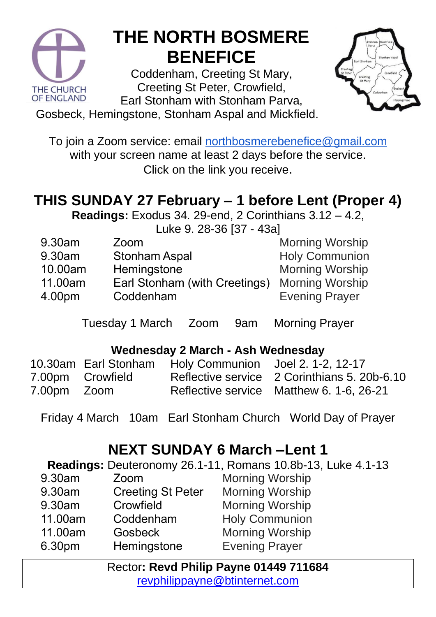

## **THE NORTH BOSMERE BENEFICE**

Coddenham, Creeting St Mary, Creeting St Peter, Crowfield, Earl Stonham with Stonham Parva,



Gosbeck, Hemingstone, Stonham Aspal and Mickfield.

To join a Zoom service: email [northbosmerebenefice@gmail.com](mailto:northbosmerebenefice@gmail.com) with your screen name at least 2 days before the service. Click on the link you receive.

### **THIS SUNDAY 27 February – 1 before Lent (Proper 4)**

**Readings:** Exodus 34. 29-end, 2 Corinthians 3.12 – 4.2,

Luke 9. 28-36 [37 - 43a]

| 9.30am  | Zoom                          | <b>Morning Worship</b> |
|---------|-------------------------------|------------------------|
| 9.30am  | <b>Stonham Aspal</b>          | <b>Holy Communion</b>  |
| 10.00am | Hemingstone                   | <b>Morning Worship</b> |
| 11.00am | Earl Stonham (with Creetings) | <b>Morning Worship</b> |
| 4.00pm  | Coddenham                     | <b>Evening Prayer</b>  |
|         |                               |                        |

Tuesday 1 March Zoom 9am Morning Prayer

#### **Wednesday 2 March - Ash Wednesday**

|             |                  | 10.30am Earl Stonham Holy Communion Joel 2. 1-2, 12-17 |                                              |
|-------------|------------------|--------------------------------------------------------|----------------------------------------------|
|             | 7.00pm Crowfield |                                                        | Reflective service 2 Corinthians 5. 20b-6.10 |
| 7.00pm Zoom |                  |                                                        | Reflective service Matthew 6. 1-6, 26-21     |

Friday 4 March 10am Earl Stonham Church World Day of Prayer

#### **NEXT SUNDAY 6 March –Lent 1**

**Readings:** Deuteronomy 26.1-11, Romans 10.8b-13, Luke 4.1-13 9.30am Zoom

- 9.30am Creeting St Peter
- 9.30am **Crowfield**
- 11.00am Coddenham
- 11.00am **Gosbeck**
- 6.30pm **Hemingstone**

Morning Worship Morning Worship Morning Worship Holy Communion Morning Worship Evening Prayer

Rector**: Revd Philip Payne 01449 711684**  [revphilippayne@btinternet.com](mailto:revphilippayne@btinternet.com)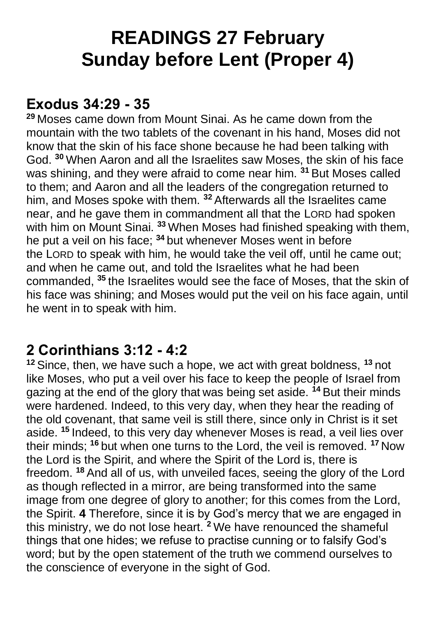## **READINGS 27 February Sunday before Lent (Proper 4)**

#### **Exodus 34:29 - 35**

**<sup>29</sup>** Moses came down from Mount Sinai. As he came down from the mountain with the two tablets of the covenant in his hand, Moses did not know that the skin of his face shone because he had been talking with God. **<sup>30</sup>** When Aaron and all the Israelites saw Moses, the skin of his face was shining, and they were afraid to come near him. **<sup>31</sup>** But Moses called to them; and Aaron and all the leaders of the congregation returned to him, and Moses spoke with them. **<sup>32</sup>** Afterwards all the Israelites came near, and he gave them in commandment all that the LORD had spoken with him on Mount Sinai. **<sup>33</sup>** When Moses had finished speaking with them, he put a veil on his face; **<sup>34</sup>** but whenever Moses went in before the LORD to speak with him, he would take the veil off, until he came out; and when he came out, and told the Israelites what he had been commanded, **<sup>35</sup>** the Israelites would see the face of Moses, that the skin of his face was shining; and Moses would put the veil on his face again, until he went in to speak with him.

#### **2 Corinthians 3:12 - 4:2**

**<sup>12</sup>** Since, then, we have such a hope, we act with great boldness, **<sup>13</sup>** not like Moses, who put a veil over his face to keep the people of Israel from gazing at the end of the glory that was being set aside. **<sup>14</sup>** But their minds were hardened. Indeed, to this very day, when they hear the reading of the old covenant, that same veil is still there, since only in Christ is it set aside. **<sup>15</sup>** Indeed, to this very day whenever Moses is read, a veil lies over their minds; **<sup>16</sup>** but when one turns to the Lord, the veil is removed. **<sup>17</sup>** Now the Lord is the Spirit, and where the Spirit of the Lord is, there is freedom. **<sup>18</sup>** And all of us, with unveiled faces, seeing the glory of the Lord as though reflected in a mirror, are being transformed into the same image from one degree of glory to another; for this comes from the Lord, the Spirit. **4** Therefore, since it is by God's mercy that we are engaged in this ministry, we do not lose heart. **<sup>2</sup>** We have renounced the shameful things that one hides; we refuse to practise cunning or to falsify God's word; but by the open statement of the truth we commend ourselves to the conscience of everyone in the sight of God.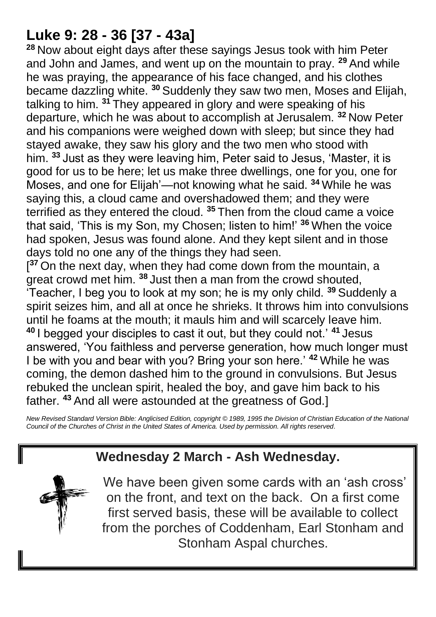#### **Luke 9: 28 - 36 [37 - 43a]**

**<sup>28</sup>** Now about eight days after these sayings Jesus took with him Peter and John and James, and went up on the mountain to pray. **<sup>29</sup>** And while he was praying, the appearance of his face changed, and his clothes became dazzling white. **<sup>30</sup>** Suddenly they saw two men, Moses and Elijah, talking to him. **<sup>31</sup>** They appeared in glory and were speaking of his departure, which he was about to accomplish at Jerusalem. **<sup>32</sup>** Now Peter and his companions were weighed down with sleep; but since they had stayed awake, they saw his glory and the two men who stood with him. **<sup>33</sup>** Just as they were leaving him, Peter said to Jesus, 'Master, it is good for us to be here; let us make three dwellings, one for you, one for Moses, and one for Elijah'—not knowing what he said. **<sup>34</sup>** While he was saying this, a cloud came and overshadowed them; and they were terrified as they entered the cloud. **<sup>35</sup>** Then from the cloud came a voice that said, 'This is my Son, my Chosen; listen to him!' **<sup>36</sup>** When the voice had spoken, Jesus was found alone. And they kept silent and in those days told no one any of the things they had seen.

[<sup>37</sup> On the next day, when they had come down from the mountain, a great crowd met him. **<sup>38</sup>** Just then a man from the crowd shouted, 'Teacher, I beg you to look at my son; he is my only child. **<sup>39</sup>** Suddenly a spirit seizes him, and all at once he shrieks. It throws him into convulsions until he foams at the mouth; it mauls him and will scarcely leave him. **<sup>40</sup>** I begged your disciples to cast it out, but they could not.' **<sup>41</sup>** Jesus answered, 'You faithless and perverse generation, how much longer must I be with you and bear with you? Bring your son here.' **<sup>42</sup>** While he was coming, the demon dashed him to the ground in convulsions. But Jesus rebuked the unclean spirit, healed the boy, and gave him back to his father. **<sup>43</sup>** And all were astounded at the greatness of God.]

*New Revised Standard Version Bible: Anglicised Edition, copyright © 1989, 1995 the Division of Christian Education of the National Council of the Churches of Christ in the United States of America. Used by permission. All rights reserved.* 

#### **Wednesday 2 March - Ash Wednesday.**



We have been given some cards with an 'ash cross' on the front, and text on the back. On a first come first served basis, these will be available to collect from the porches of Coddenham, Earl Stonham and Stonham Aspal churches.